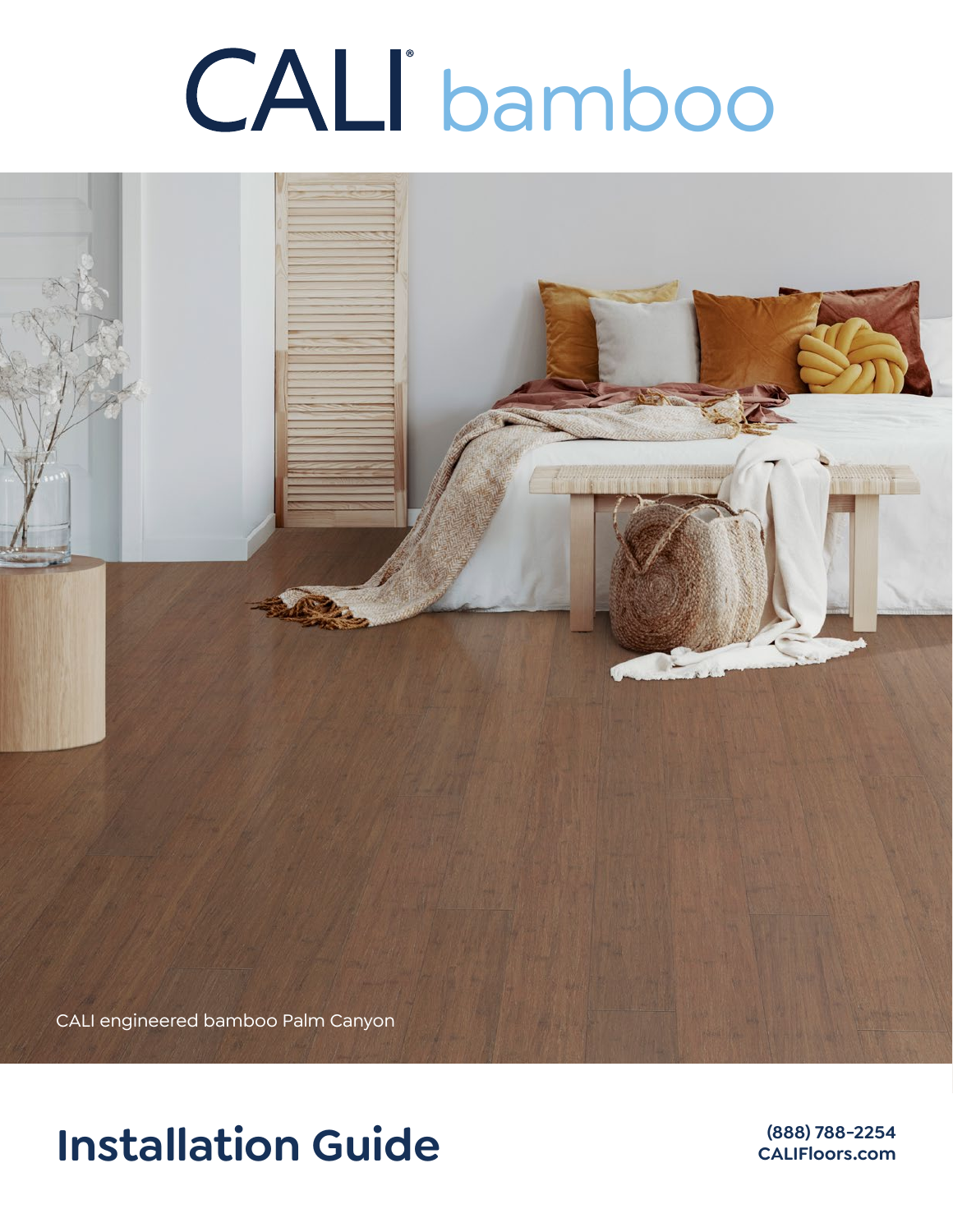# bamboo



# **Installation Guide (888) 788-2254**

**CALIFloors.com**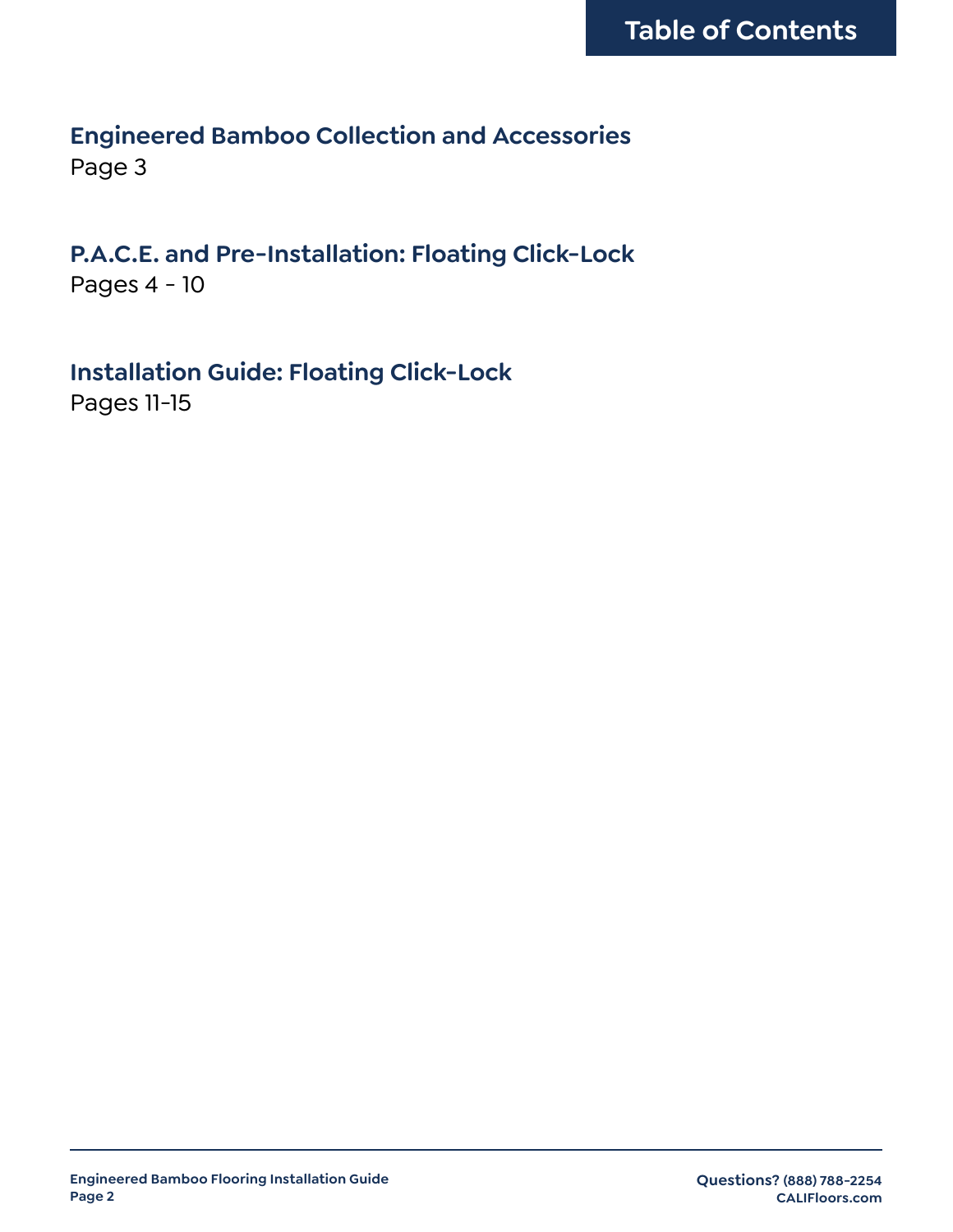# **Engineered Bamboo Collection and Accessories** Page 3

# **P.A.C.E. and Pre-Installation: Floating Click-Lock**

Pages 4 - 10

**Installation Guide: Floating Click-Lock** Pages 11-15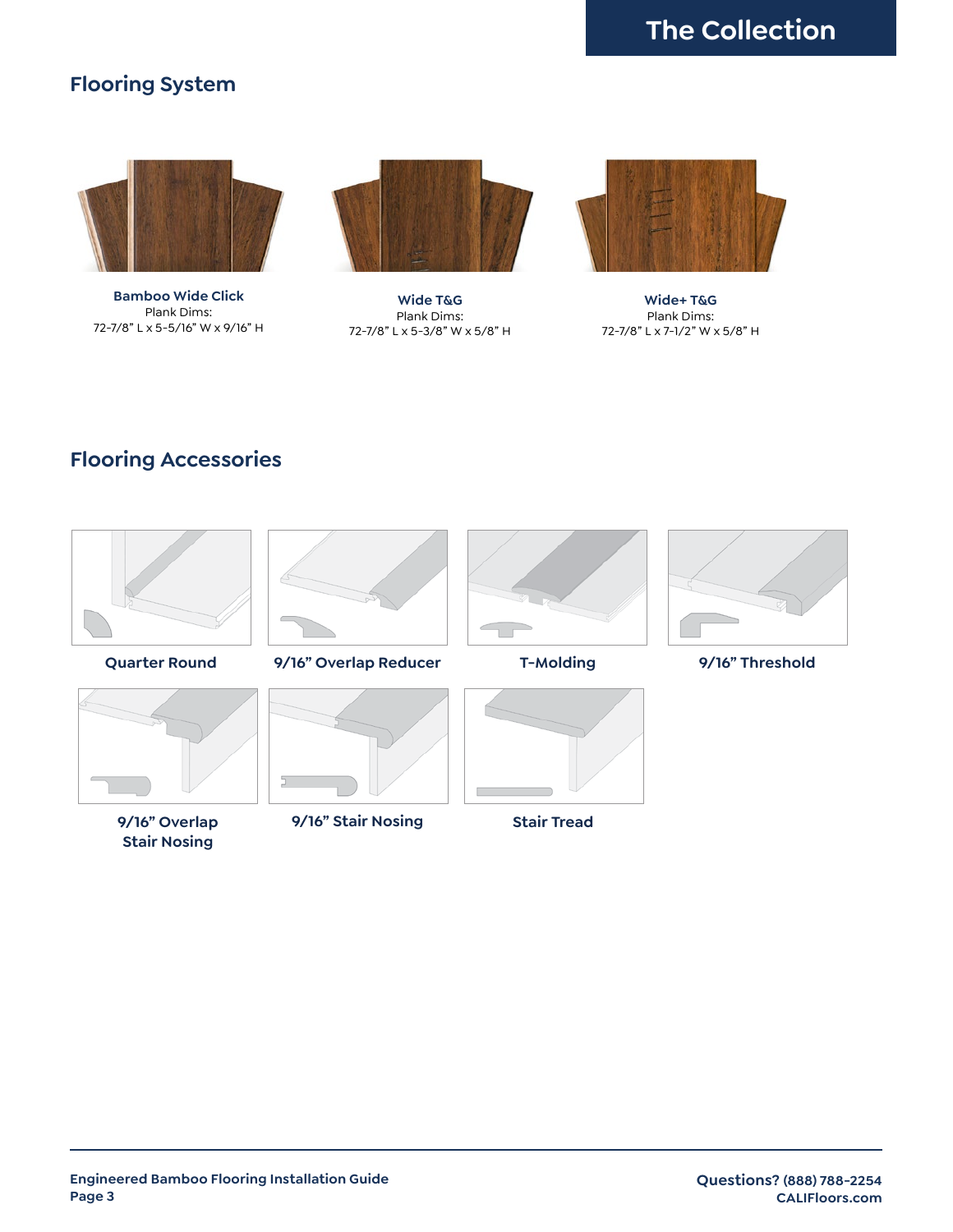# **Flooring System**



**Bamboo Wide Click** Plank Dims: 72-7/8" L x 5-5/16" W x 9/16" H



**Wide T&G** Plank Dims: 72-7/8" L x 5-3/8" W x 5/8" H



**Wide+ T&G** Plank Dims: 72-7/8" L x 7-1/2" W x 5/8" H

# **Flooring Accessories**



**Quarter Round**



**9/16" Overlap Stair Nosing**



**9/16" Overlap Reducer**



**9/16" Stair Nosing**





**Stair Tread**



**T-Molding 9/16" Threshold**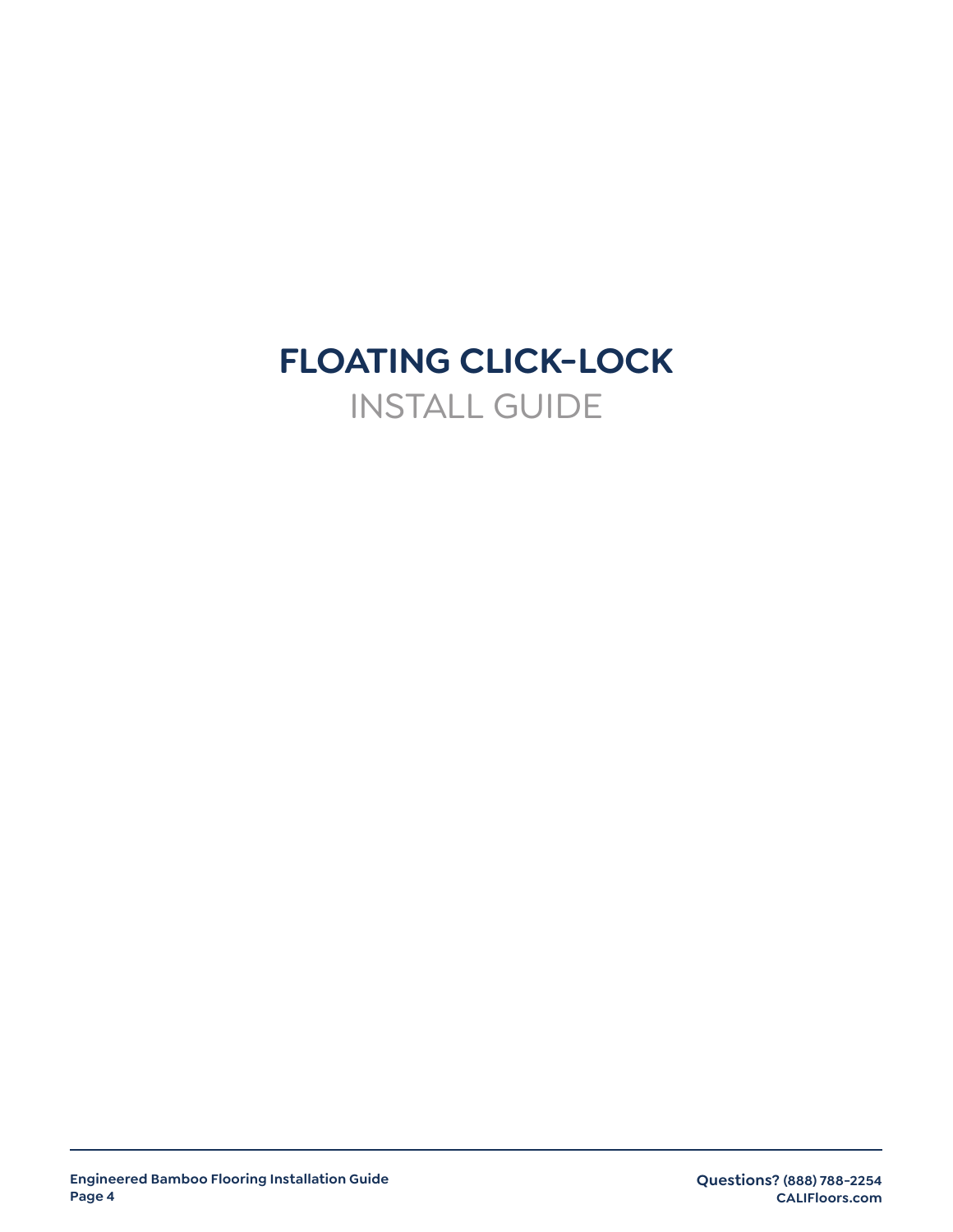# **FLOATING CLICK-LOCK** INSTALL GUIDE

**Questions? (888) 788-2254 CALIFloors.com**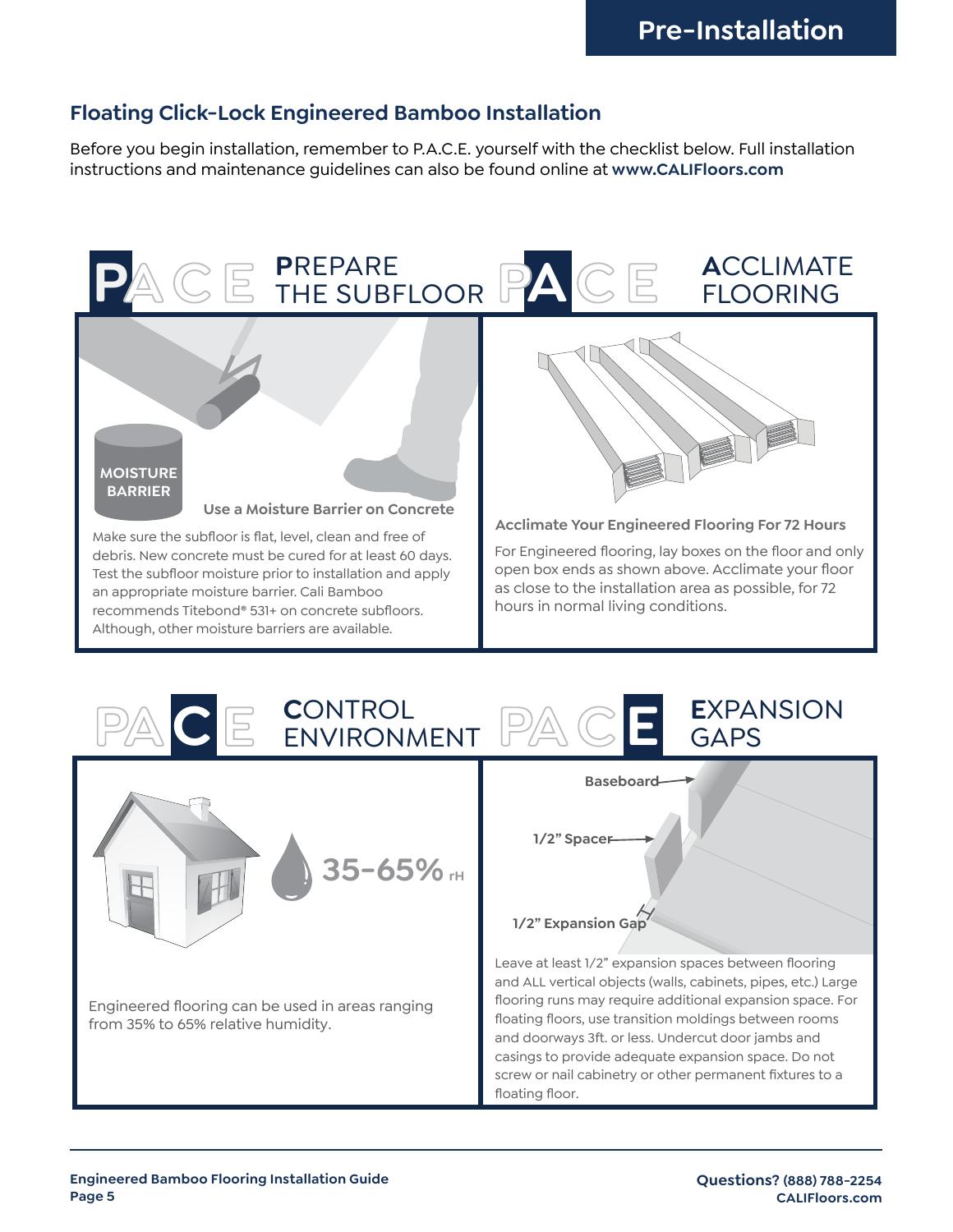## **Floating Click-Lock Engineered Bamboo Installation**

Before you begin installation, remember to P.A.C.E. yourself with the checklist below. Full installation instructions and maintenance guidelines can also be found online at **www.CALIFloors.com**

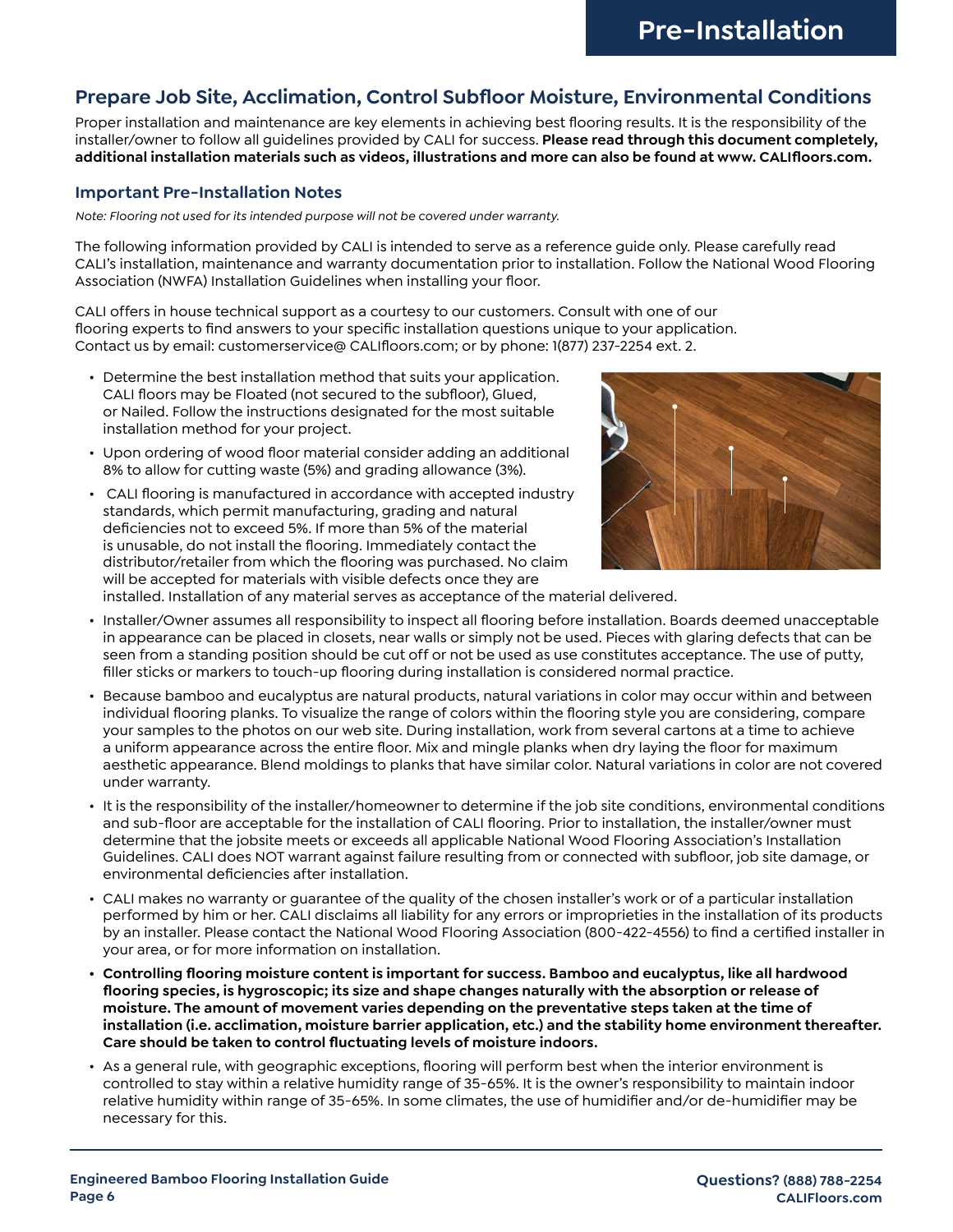#### **Prepare Job Site, Acclimation, Control Subfloor Moisture, Environmental Conditions**

Proper installation and maintenance are key elements in achieving best flooring results. It is the responsibility of the installer/owner to follow all guidelines provided by CALI for success. **Please read through this document completely, additional installation materials such as videos, illustrations and more can also be found at www. CALIfloors.com.** 

#### **Important Pre-Installation Notes**

*Note: Flooring not used for its intended purpose will not be covered under warranty.* 

The following information provided by CALI is intended to serve as a reference guide only. Please carefully read CALI's installation, maintenance and warranty documentation prior to installation. Follow the National Wood Flooring Association (NWFA) Installation Guidelines when installing your floor.

CALI offers in house technical support as a courtesy to our customers. Consult with one of our flooring experts to find answers to your specific installation questions unique to your application. Contact us by email: customerservice@ CALIfloors.com; or by phone: 1(877) 237-2254 ext. 2.

- Determine the best installation method that suits your application. CALI floors may be Floated (not secured to the subfloor), Glued, or Nailed. Follow the instructions designated for the most suitable installation method for your project.
- Upon ordering of wood floor material consider adding an additional 8% to allow for cutting waste (5%) and grading allowance (3%).
- CALI flooring is manufactured in accordance with accepted industry standards, which permit manufacturing, grading and natural deficiencies not to exceed 5%. If more than 5% of the material is unusable, do not install the flooring. Immediately contact the distributor/retailer from which the flooring was purchased. No claim will be accepted for materials with visible defects once they are



installed. Installation of any material serves as acceptance of the material delivered.

- Installer/Owner assumes all responsibility to inspect all flooring before installation. Boards deemed unacceptable in appearance can be placed in closets, near walls or simply not be used. Pieces with glaring defects that can be seen from a standing position should be cut off or not be used as use constitutes acceptance. The use of putty, filler sticks or markers to touch-up flooring during installation is considered normal practice.
- Because bamboo and eucalyptus are natural products, natural variations in color may occur within and between individual flooring planks. To visualize the range of colors within the flooring style you are considering, compare your samples to the photos on our web site. During installation, work from several cartons at a time to achieve a uniform appearance across the entire floor. Mix and mingle planks when dry laying the floor for maximum aesthetic appearance. Blend moldings to planks that have similar color. Natural variations in color are not covered under warranty.
- It is the responsibility of the installer/homeowner to determine if the job site conditions, environmental conditions and sub-floor are acceptable for the installation of CALI flooring. Prior to installation, the installer/owner must determine that the jobsite meets or exceeds all applicable National Wood Flooring Association's Installation Guidelines. CALI does NOT warrant against failure resulting from or connected with subfloor, job site damage, or environmental deficiencies after installation.
- CALI makes no warranty or guarantee of the quality of the chosen installer's work or of a particular installation performed by him or her. CALI disclaims all liability for any errors or improprieties in the installation of its products by an installer. Please contact the National Wood Flooring Association (800-422-4556) to find a certified installer in your area, or for more information on installation.
- **• Controlling flooring moisture content is important for success. Bamboo and eucalyptus, like all hardwood flooring species, is hygroscopic; its size and shape changes naturally with the absorption or release of moisture. The amount of movement varies depending on the preventative steps taken at the time of installation (i.e. acclimation, moisture barrier application, etc.) and the stability home environment thereafter. Care should be taken to control fluctuating levels of moisture indoors.**
- As a general rule, with geographic exceptions, flooring will perform best when the interior environment is controlled to stay within a relative humidity range of 35-65%. It is the owner's responsibility to maintain indoor relative humidity within range of 35-65%. In some climates, the use of humidifier and/or de-humidifier may be necessary for this.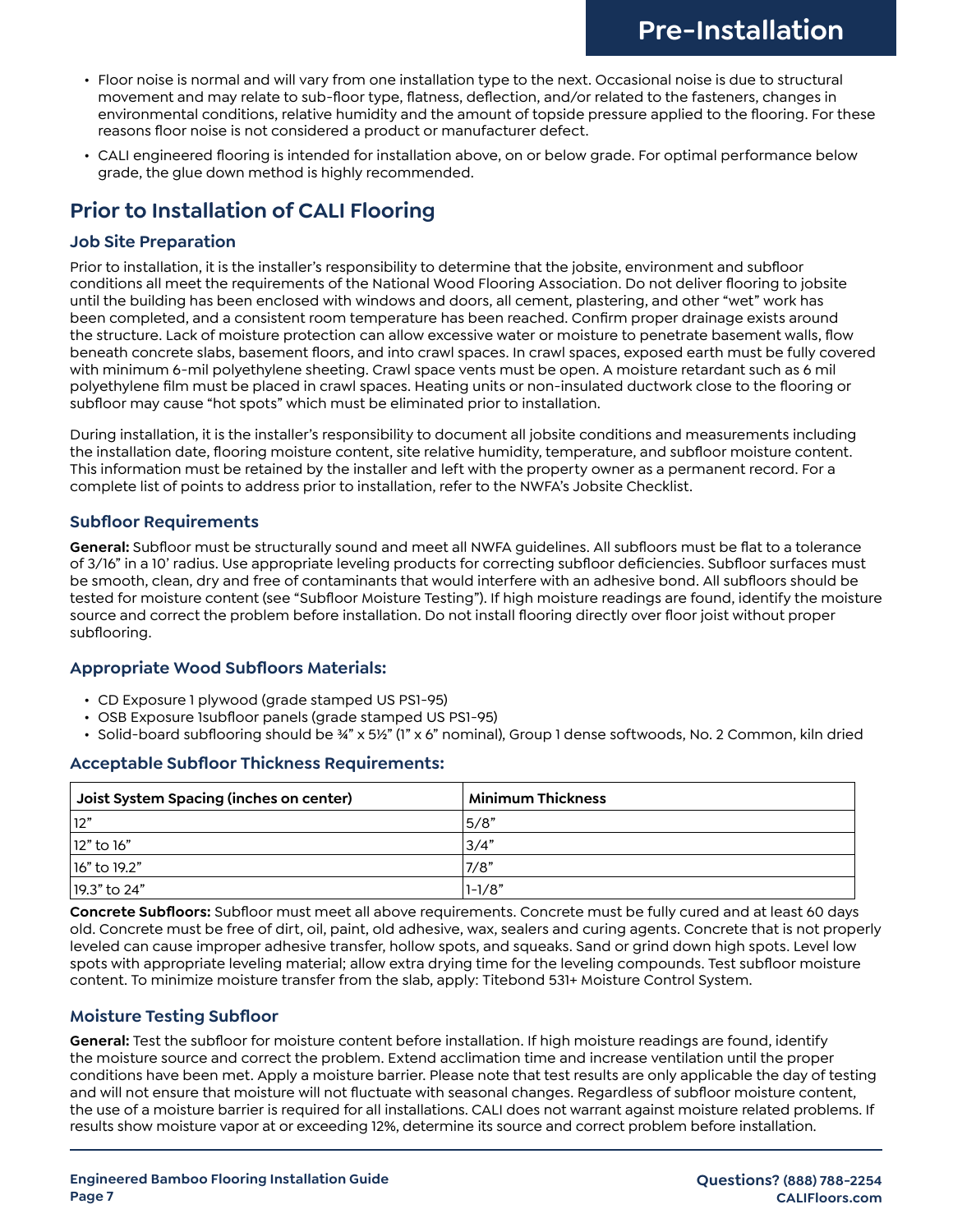- Floor noise is normal and will vary from one installation type to the next. Occasional noise is due to structural movement and may relate to sub-floor type, flatness, deflection, and/or related to the fasteners, changes in environmental conditions, relative humidity and the amount of topside pressure applied to the flooring. For these reasons floor noise is not considered a product or manufacturer defect.
- CALI engineered flooring is intended for installation above, on or below grade. For optimal performance below grade, the glue down method is highly recommended.

# **Prior to Installation of CALI Flooring**

#### **Job Site Preparation**

Prior to installation, it is the installer's responsibility to determine that the jobsite, environment and subfloor conditions all meet the requirements of the National Wood Flooring Association. Do not deliver flooring to jobsite until the building has been enclosed with windows and doors, all cement, plastering, and other "wet" work has been completed, and a consistent room temperature has been reached. Confirm proper drainage exists around the structure. Lack of moisture protection can allow excessive water or moisture to penetrate basement walls, flow beneath concrete slabs, basement floors, and into crawl spaces. In crawl spaces, exposed earth must be fully covered with minimum 6-mil polyethylene sheeting. Crawl space vents must be open. A moisture retardant such as 6 mil polyethylene film must be placed in crawl spaces. Heating units or non-insulated ductwork close to the flooring or subfloor may cause "hot spots" which must be eliminated prior to installation.

During installation, it is the installer's responsibility to document all jobsite conditions and measurements including the installation date, flooring moisture content, site relative humidity, temperature, and subfloor moisture content. This information must be retained by the installer and left with the property owner as a permanent record. For a complete list of points to address prior to installation, refer to the NWFA's Jobsite Checklist.

#### **Subfloor Requirements**

**General:** Subfloor must be structurally sound and meet all NWFA guidelines. All subfloors must be flat to a tolerance of 3/16" in a 10' radius. Use appropriate leveling products for correcting subfloor deficiencies. Subfloor surfaces must be smooth, clean, dry and free of contaminants that would interfere with an adhesive bond. All subfloors should be tested for moisture content (see "Subfloor Moisture Testing"). If high moisture readings are found, identify the moisture source and correct the problem before installation. Do not install flooring directly over floor joist without proper subflooring.

#### **Appropriate Wood Subfloors Materials:**

- CD Exposure 1 plywood (grade stamped US PS1-95)
- OSB Exposure 1subfloor panels (grade stamped US PS1-95)
- Solid-board subflooring should be ¾" x 5½" (1" x 6" nominal), Group 1 dense softwoods, No. 2 Common, kiln dried

#### **Acceptable Subfloor Thickness Requirements:**

| Joist System Spacing (inches on center) | <b>Minimum Thickness</b> |
|-----------------------------------------|--------------------------|
| 12"                                     | 5/8"                     |
| $ 12"$ to 16"                           | 3/4"                     |
| 16" to 19.2"                            | 7/8"                     |
| $ 19.3"$ to 24"                         | $1 - 1/8"$               |

**Concrete Subfloors:** Subfloor must meet all above requirements. Concrete must be fully cured and at least 60 days old. Concrete must be free of dirt, oil, paint, old adhesive, wax, sealers and curing agents. Concrete that is not properly leveled can cause improper adhesive transfer, hollow spots, and squeaks. Sand or grind down high spots. Level low spots with appropriate leveling material; allow extra drying time for the leveling compounds. Test subfloor moisture content. To minimize moisture transfer from the slab, apply: Titebond 531+ Moisture Control System.

#### **Moisture Testing Subfloor**

**General:** Test the subfloor for moisture content before installation. If high moisture readings are found, identify the moisture source and correct the problem. Extend acclimation time and increase ventilation until the proper conditions have been met. Apply a moisture barrier. Please note that test results are only applicable the day of testing and will not ensure that moisture will not fluctuate with seasonal changes. Regardless of subfloor moisture content, the use of a moisture barrier is required for all installations. CALI does not warrant against moisture related problems. If results show moisture vapor at or exceeding 12%, determine its source and correct problem before installation.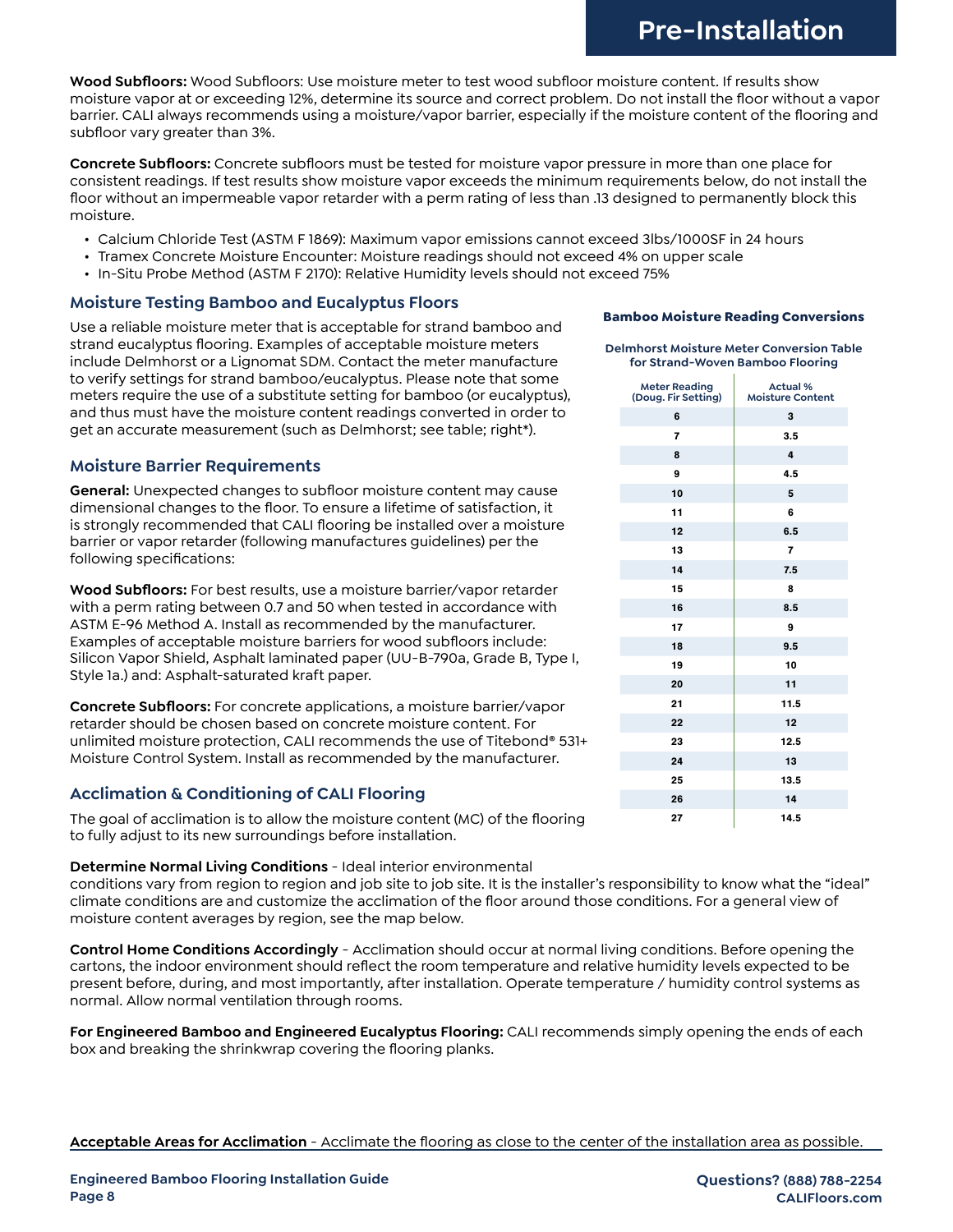**Wood Subfloors:** Wood Subfloors: Use moisture meter to test wood subfloor moisture content. If results show moisture vapor at or exceeding 12%, determine its source and correct problem. Do not install the floor without a vapor barrier. CALI always recommends using a moisture/vapor barrier, especially if the moisture content of the flooring and subfloor vary greater than 3%.

**Concrete Subfloors:** Concrete subfloors must be tested for moisture vapor pressure in more than one place for consistent readings. If test results show moisture vapor exceeds the minimum requirements below, do not install the floor without an impermeable vapor retarder with a perm rating of less than .13 designed to permanently block this moisture.

- Calcium Chloride Test (ASTM F 1869): Maximum vapor emissions cannot exceed 3lbs/1000SF in 24 hours
- Tramex Concrete Moisture Encounter: Moisture readings should not exceed 4% on upper scale
- In-Situ Probe Method (ASTM F 2170): Relative Humidity levels should not exceed 75%

#### **Moisture Testing Bamboo and Eucalyptus Floors**

Use a reliable moisture meter that is acceptable for strand bamboo and strand eucalyptus flooring. Examples of acceptable moisture meters include Delmhorst or a Lignomat SDM. Contact the meter manufacture to verify settings for strand bamboo/eucalyptus. Please note that some meters require the use of a substitute setting for bamboo (or eucalyptus), and thus must have the moisture content readings converted in order to get an accurate measurement (such as Delmhorst; see table; right\*).

#### **Moisture Barrier Requirements**

**General:** Unexpected changes to subfloor moisture content may cause dimensional changes to the floor. To ensure a lifetime of satisfaction, it is strongly recommended that CALI flooring be installed over a moisture barrier or vapor retarder (following manufactures guidelines) per the following specifications:

**Wood Subfloors:** For best results, use a moisture barrier/vapor retarder with a perm rating between 0.7 and 50 when tested in accordance with ASTM E-96 Method A. Install as recommended by the manufacturer. Examples of acceptable moisture barriers for wood subfloors include: Silicon Vapor Shield, Asphalt laminated paper (UU-B-790a, Grade B, Type I, Style 1a.) and: Asphalt-saturated kraft paper.

**Concrete Subfloors:** For concrete applications, a moisture barrier/vapor retarder should be chosen based on concrete moisture content. For unlimited moisture protection, CALI recommends the use of Titebond® 531+ Moisture Control System. Install as recommended by the manufacturer.

#### **Acclimation & Conditioning of CALI Flooring**

The goal of acclimation is to allow the moisture content (MC) of the flooring to fully adjust to its new surroundings before installation.

#### **Determine Normal Living Conditions** - Ideal interior environmental

conditions vary from region to region and job site to job site. It is the installer's responsibility to know what the "ideal" climate conditions are and customize the acclimation of the floor around those conditions. For a general view of moisture content averages by region, see the map below.

**Control Home Conditions Accordingly** - Acclimation should occur at normal living conditions. Before opening the cartons, the indoor environment should reflect the room temperature and relative humidity levels expected to be present before, during, and most importantly, after installation. Operate temperature / humidity control systems as normal. Allow normal ventilation through rooms.

**For Engineered Bamboo and Engineered Eucalyptus Flooring:** CALI recommends simply opening the ends of each box and breaking the shrinkwrap covering the flooring planks.

#### **Acceptable Areas for Acclimation** - Acclimate the flooring as close to the center of the installation area as possible.

| for Strand-Woven Bamboo Flooring            | <b>Delmhorst Moisture Meter Conversion Table</b> |  |  |  |  |  |  |  |  |
|---------------------------------------------|--------------------------------------------------|--|--|--|--|--|--|--|--|
| <b>Meter Reading</b><br>(Doug. Fir Setting) | <b>Actual %</b><br><b>Moisture Content</b>       |  |  |  |  |  |  |  |  |
| 6                                           | 3                                                |  |  |  |  |  |  |  |  |
| 7                                           | 3.5                                              |  |  |  |  |  |  |  |  |
| 8                                           | 4                                                |  |  |  |  |  |  |  |  |
| 9                                           | 4.5                                              |  |  |  |  |  |  |  |  |
| 10                                          | 5                                                |  |  |  |  |  |  |  |  |
| 11                                          | 6                                                |  |  |  |  |  |  |  |  |
| 12                                          | 6.5                                              |  |  |  |  |  |  |  |  |
| 13                                          | 7                                                |  |  |  |  |  |  |  |  |
| 14                                          | 7.5                                              |  |  |  |  |  |  |  |  |
| 15                                          | 8                                                |  |  |  |  |  |  |  |  |
| 16                                          | 8.5                                              |  |  |  |  |  |  |  |  |
| 17                                          | 9                                                |  |  |  |  |  |  |  |  |
| 18                                          | 9.5                                              |  |  |  |  |  |  |  |  |
| 19                                          | 10                                               |  |  |  |  |  |  |  |  |
| 20                                          | 11                                               |  |  |  |  |  |  |  |  |
| 21                                          | 11.5                                             |  |  |  |  |  |  |  |  |
| 22                                          | 12                                               |  |  |  |  |  |  |  |  |
| 23                                          | 12.5                                             |  |  |  |  |  |  |  |  |
| 24                                          | 13                                               |  |  |  |  |  |  |  |  |
| 25                                          | 13.5                                             |  |  |  |  |  |  |  |  |
| 26                                          | 14                                               |  |  |  |  |  |  |  |  |
| 27                                          | 14.5                                             |  |  |  |  |  |  |  |  |

**Bamboo Moisture Reading Conversions**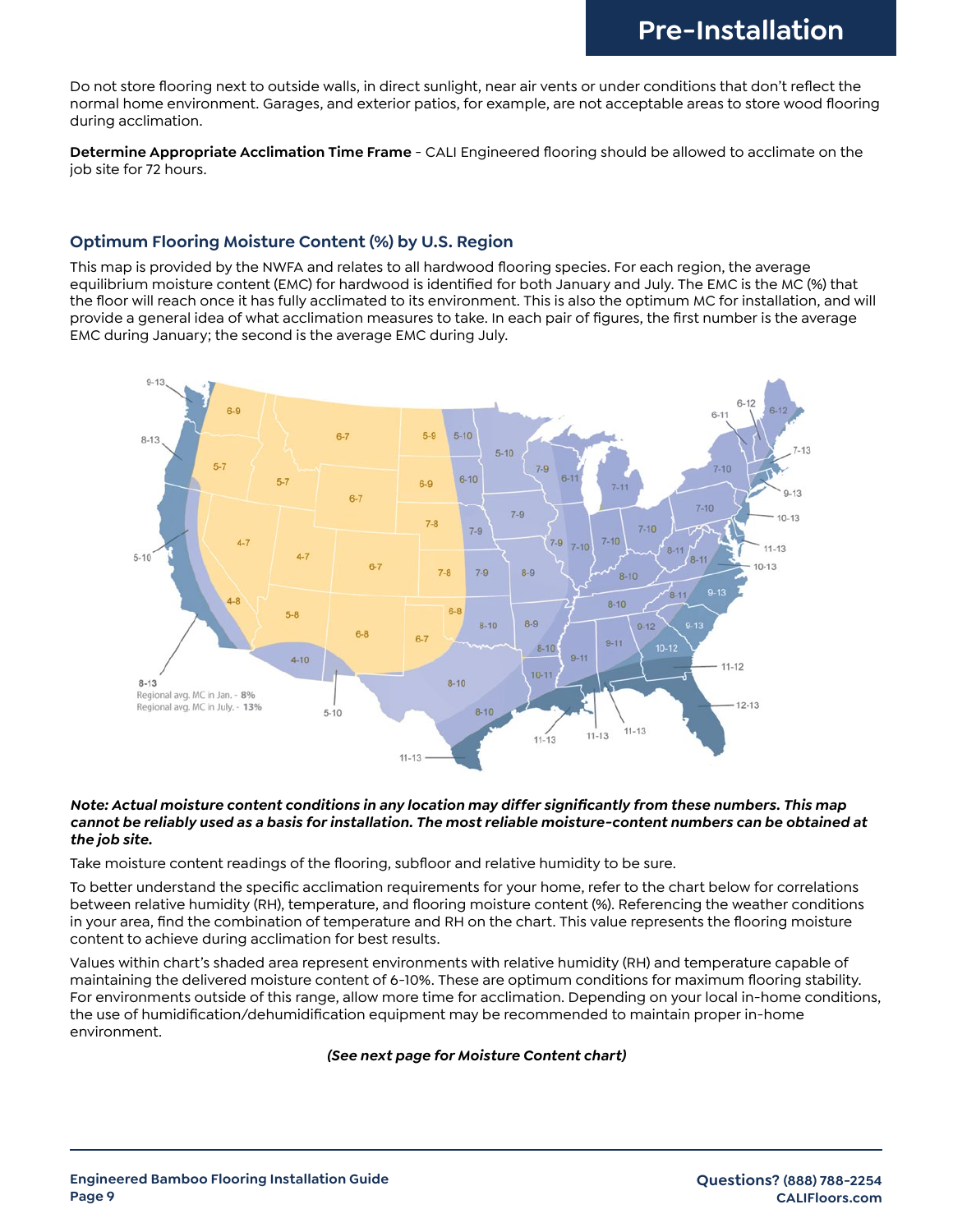Do not store flooring next to outside walls, in direct sunlight, near air vents or under conditions that don't reflect the normal home environment. Garages, and exterior patios, for example, are not acceptable areas to store wood flooring during acclimation.

**Determine Appropriate Acclimation Time Frame** - CALI Engineered flooring should be allowed to acclimate on the job site for 72 hours.

#### **Optimum Flooring Moisture Content (%) by U.S. Region**

This map is provided by the NWFA and relates to all hardwood flooring species. For each region, the average equilibrium moisture content (EMC) for hardwood is identified for both January and July. The EMC is the MC (%) that the floor will reach once it has fully acclimated to its environment. This is also the optimum MC for installation, and will provide a general idea of what acclimation measures to take. In each pair of figures, the first number is the average EMC during January; the second is the average EMC during July.



#### *Note: Actual moisture content conditions in any location may differ significantly from these numbers. This map cannot be reliably used as a basis for installation. The most reliable moisture-content numbers can be obtained at the job site.*

Take moisture content readings of the flooring, subfloor and relative humidity to be sure.

To better understand the specific acclimation requirements for your home, refer to the chart below for correlations between relative humidity (RH), temperature, and flooring moisture content (%). Referencing the weather conditions in your area, find the combination of temperature and RH on the chart. This value represents the flooring moisture content to achieve during acclimation for best results.

Values within chart's shaded area represent environments with relative humidity (RH) and temperature capable of maintaining the delivered moisture content of 6-10%. These are optimum conditions for maximum flooring stability. For environments outside of this range, allow more time for acclimation. Depending on your local in-home conditions, the use of humidification/dehumidification equipment may be recommended to maintain proper in-home environment.

#### *(See next page for Moisture Content chart)*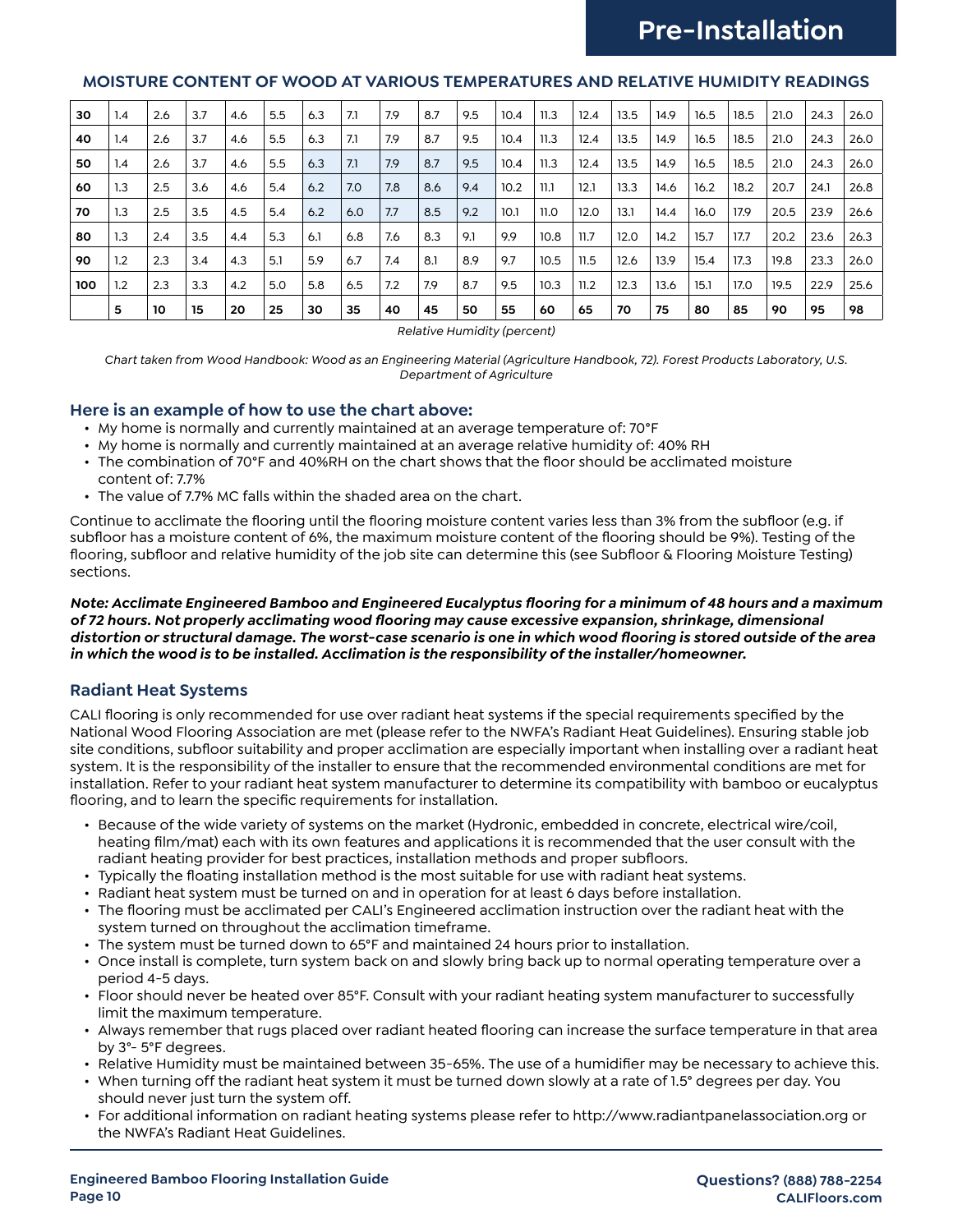# **Pre-Installation**

#### **MOISTURE CONTENT OF WOOD AT VARIOUS TEMPERATURES AND RELATIVE HUMIDITY READINGS**

| 30  | 1.4 | 2.6 | 3.7 | 4.6 | 5.5 | 6.3 | 7.1 | 7.9 | 8.7 | 9.5 | 10.4 | 11.3 | 12.4 | 13.5 | 14.9 | 16.5 | 18.5 | 21.0 | 24.3 | 26.0 |
|-----|-----|-----|-----|-----|-----|-----|-----|-----|-----|-----|------|------|------|------|------|------|------|------|------|------|
| 40  | 1.4 | 2.6 | 3.7 | 4.6 | 5.5 | 6.3 | 7.1 | 7.9 | 8.7 | 9.5 | 10.4 | 11.3 | 12.4 | 13.5 | 14.9 | 16.5 | 18.5 | 21.0 | 24.3 | 26.0 |
| 50  | 1.4 | 2.6 | 3.7 | 4.6 | 5.5 | 6.3 | 7.1 | 7.9 | 8.7 | 9.5 | 10.4 | 11.3 | 12.4 | 13.5 | 14.9 | 16.5 | 18.5 | 21.0 | 24.3 | 26.0 |
| 60  | 1.3 | 2.5 | 3.6 | 4.6 | 5.4 | 6.2 | 7.0 | 7.8 | 8.6 | 9.4 | 10.2 | 11.1 | 12.1 | 13.3 | 14.6 | 16.2 | 18.2 | 20.7 | 24.1 | 26.8 |
| 70  | 1.3 | 2.5 | 3.5 | 4.5 | 5.4 | 6.2 | 6.0 | 7.7 | 8.5 | 9.2 | 10.1 | 11.0 | 12.0 | 13.1 | 14.4 | 16.0 | 17.9 | 20.5 | 23.9 | 26.6 |
| 80  | 1.3 | 2.4 | 3.5 | 4.4 | 5.3 | 6.1 | 6.8 | 7.6 | 8.3 | 9.1 | 9.9  | 10.8 | 11.7 | 12.0 | 14.2 | 15.7 | 17.7 | 20.2 | 23.6 | 26.3 |
| 90  | 1.2 | 2.3 | 3.4 | 4.3 | 5.1 | 5.9 | 6.7 | 7.4 | 8.1 | 8.9 | 9.7  | 10.5 | 11.5 | 12.6 | 13.9 | 15.4 | 17.3 | 19.8 | 23.3 | 26.0 |
| 100 | 1.2 | 2.3 | 3.3 | 4.2 | 5.0 | 5.8 | 6.5 | 7.2 | 7.9 | 8.7 | 9.5  | 10.3 | 11.2 | 12.3 | 13.6 | 15.1 | 17.0 | 19.5 | 22.9 | 25.6 |
|     | 5   | 10  | 15  | 20  | 25  | 30  | 35  | 40  | 45  | 50  | 55   | 60   | 65   | 70   | 75   | 80   | 85   | 90   | 95   | 98   |

*Relative Humidity (percent)*

*Chart taken from Wood Handbook: Wood as an Engineering Material (Agriculture Handbook, 72). Forest Products Laboratory, U.S. Department of Agriculture*

#### **Here is an example of how to use the chart above:**

- My home is normally and currently maintained at an average temperature of: 70°F
- My home is normally and currently maintained at an average relative humidity of: 40% RH
- The combination of 70°F and 40%RH on the chart shows that the floor should be acclimated moisture content of: 7.7%
- The value of 7.7% MC falls within the shaded area on the chart.

Continue to acclimate the flooring until the flooring moisture content varies less than 3% from the subfloor (e.g. if subfloor has a moisture content of 6%, the maximum moisture content of the flooring should be 9%). Testing of the flooring, subfloor and relative humidity of the job site can determine this (see Subfloor & Flooring Moisture Testing) sections.

*Note: Acclimate Engineered Bamboo and Engineered Eucalyptus flooring for a minimum of 48 hours and a maximum of 72 hours. Not properly acclimating wood flooring may cause excessive expansion, shrinkage, dimensional distortion or structural damage. The worst-case scenario is one in which wood flooring is stored outside of the area in which the wood is to be installed. Acclimation is the responsibility of the installer/homeowner.*

#### **Radiant Heat Systems**

CALI flooring is only recommended for use over radiant heat systems if the special requirements specified by the National Wood Flooring Association are met (please refer to the NWFA's Radiant Heat Guidelines). Ensuring stable job site conditions, subfloor suitability and proper acclimation are especially important when installing over a radiant heat system. It is the responsibility of the installer to ensure that the recommended environmental conditions are met for installation. Refer to your radiant heat system manufacturer to determine its compatibility with bamboo or eucalyptus flooring, and to learn the specific requirements for installation.

- Because of the wide variety of systems on the market (Hydronic, embedded in concrete, electrical wire/coil, heating film/mat) each with its own features and applications it is recommended that the user consult with the radiant heating provider for best practices, installation methods and proper subfloors.
- Typically the floating installation method is the most suitable for use with radiant heat systems.
- Radiant heat system must be turned on and in operation for at least 6 days before installation.
- The flooring must be acclimated per CALI's Engineered acclimation instruction over the radiant heat with the system turned on throughout the acclimation timeframe.
- The system must be turned down to 65°F and maintained 24 hours prior to installation.
- Once install is complete, turn system back on and slowly bring back up to normal operating temperature over a period 4-5 days.
- Floor should never be heated over 85°F. Consult with your radiant heating system manufacturer to successfully limit the maximum temperature.
- Always remember that rugs placed over radiant heated flooring can increase the surface temperature in that area by 3°- 5°F degrees.
- Relative Humidity must be maintained between 35-65%. The use of a humidifier may be necessary to achieve this.
- When turning off the radiant heat system it must be turned down slowly at a rate of 1.5° degrees per day. You should never just turn the system off.
- For additional information on radiant heating systems please refer to http://www.radiantpanelassociation.org or the NWFA's Radiant Heat Guidelines.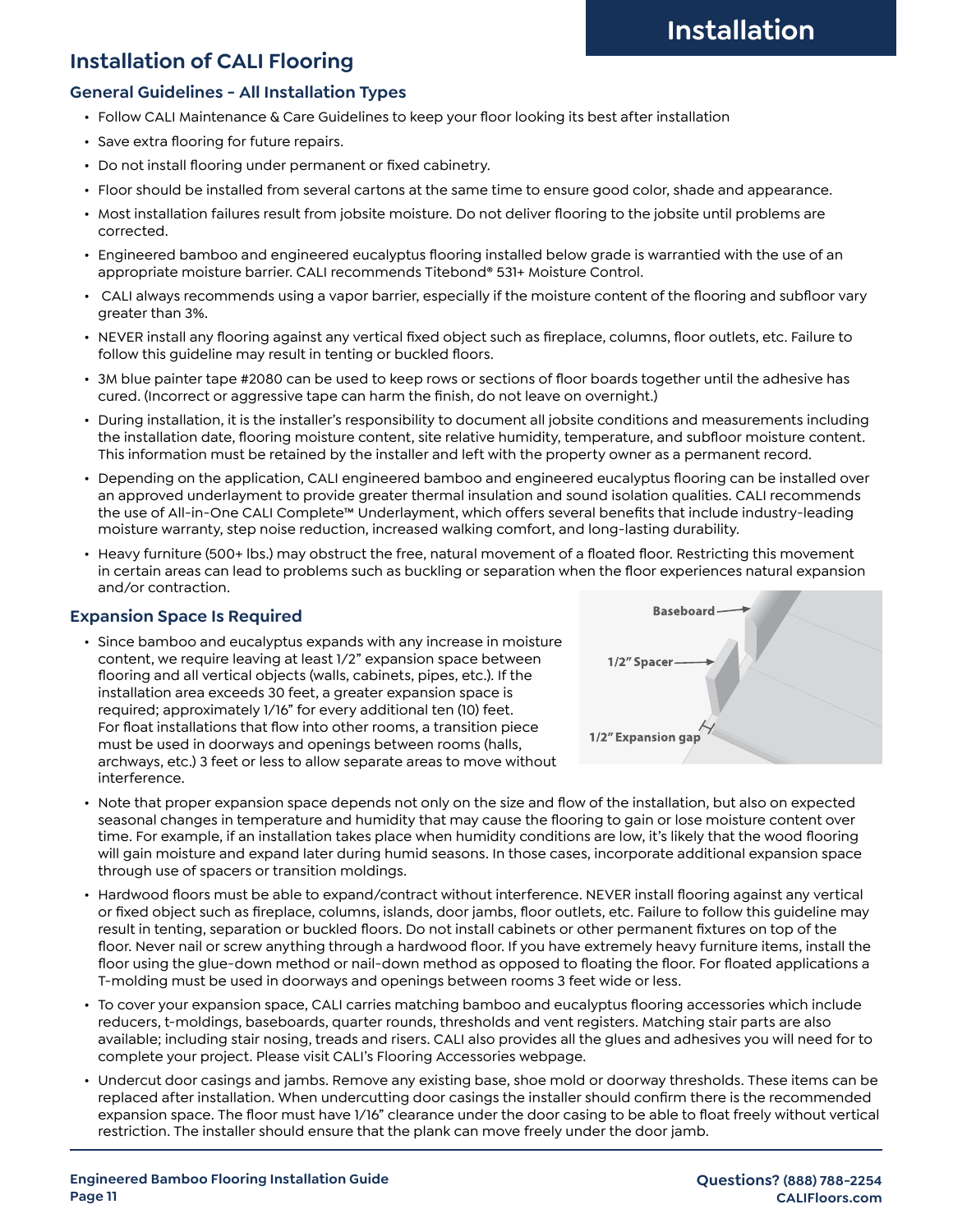## **Installation of CALI Flooring**

#### **General Guidelines - All Installation Types**

- Follow CALI Maintenance & Care Guidelines to keep your floor looking its best after installation
- Save extra flooring for future repairs.
- Do not install flooring under permanent or fixed cabinetry.
- Floor should be installed from several cartons at the same time to ensure good color, shade and appearance.
- Most installation failures result from jobsite moisture. Do not deliver flooring to the jobsite until problems are corrected.
- Engineered bamboo and engineered eucalyptus flooring installed below grade is warrantied with the use of an appropriate moisture barrier. CALI recommends Titebond® 531+ Moisture Control.
- CALI always recommends using a vapor barrier, especially if the moisture content of the flooring and subfloor vary greater than 3%.
- NEVER install any flooring against any vertical fixed object such as fireplace, columns, floor outlets, etc. Failure to follow this guideline may result in tenting or buckled floors.
- 3M blue painter tape #2080 can be used to keep rows or sections of floor boards together until the adhesive has cured. (Incorrect or aggressive tape can harm the finish, do not leave on overnight.)
- During installation, it is the installer's responsibility to document all jobsite conditions and measurements including the installation date, flooring moisture content, site relative humidity, temperature, and subfloor moisture content. This information must be retained by the installer and left with the property owner as a permanent record.
- Depending on the application, CALI engineered bamboo and engineered eucalyptus flooring can be installed over an approved underlayment to provide greater thermal insulation and sound isolation qualities. CALI recommends the use of All-in-One CALI Complete™ Underlayment, which offers several benefits that include industry-leading moisture warranty, step noise reduction, increased walking comfort, and long-lasting durability.
- Heavy furniture (500+ lbs.) may obstruct the free, natural movement of a floated floor. Restricting this movement in certain areas can lead to problems such as buckling or separation when the floor experiences natural expansion and/or contraction.

#### **Expansion Space Is Required**

• Since bamboo and eucalyptus expands with any increase in moisture content, we require leaving at least 1/2" expansion space between flooring and all vertical objects (walls, cabinets, pipes, etc.). If the installation area exceeds 30 feet, a greater expansion space is required; approximately 1/16" for every additional ten (10) feet. For float installations that flow into other rooms, a transition piece must be used in doorways and openings between rooms (halls, archways, etc.) 3 feet or less to allow separate areas to move without interference.



- Note that proper expansion space depends not only on the size and flow of the installation, but also on expected seasonal changes in temperature and humidity that may cause the flooring to gain or lose moisture content over time. For example, if an installation takes place when humidity conditions are low, it's likely that the wood flooring will gain moisture and expand later during humid seasons. In those cases, incorporate additional expansion space through use of spacers or transition moldings.
- Hardwood floors must be able to expand/contract without interference. NEVER install flooring against any vertical or fixed object such as fireplace, columns, islands, door jambs, floor outlets, etc. Failure to follow this guideline may result in tenting, separation or buckled floors. Do not install cabinets or other permanent fixtures on top of the floor. Never nail or screw anything through a hardwood floor. If you have extremely heavy furniture items, install the floor using the glue-down method or nail-down method as opposed to floating the floor. For floated applications a T-molding must be used in doorways and openings between rooms 3 feet wide or less.
- To cover your expansion space, CALI carries matching bamboo and eucalyptus flooring accessories which include reducers, t-moldings, baseboards, quarter rounds, thresholds and vent registers. Matching stair parts are also available; including stair nosing, treads and risers. CALI also provides all the glues and adhesives you will need for to complete your project. Please visit CALI's Flooring Accessories webpage.
- Undercut door casings and jambs. Remove any existing base, shoe mold or doorway thresholds. These items can be replaced after installation. When undercutting door casings the installer should confirm there is the recommended expansion space. The floor must have 1/16" clearance under the door casing to be able to float freely without vertical restriction. The installer should ensure that the plank can move freely under the door jamb.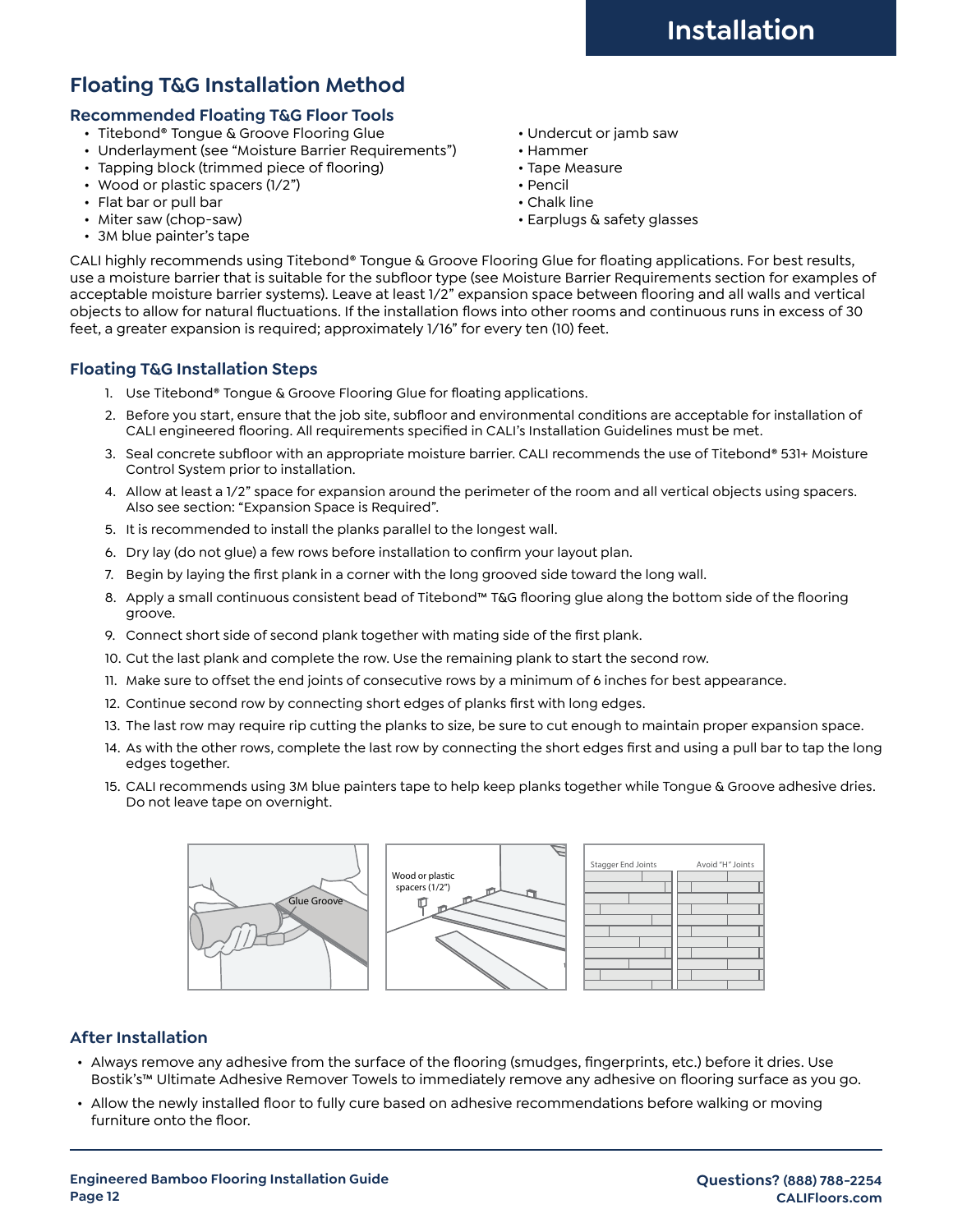# **Floating T&G Installation Method**

#### **Recommended Floating T&G Floor Tools**

- Titebond® Tongue & Groove Flooring Glue Vndercut or jamb saw
- Underlayment (see "Moisture Barrier Requirements") Hammer
- Tapping block (trimmed piece of flooring) **•** Tape Measure
- Wood or plastic spacers (1/2") Pencil
- Flat bar or pull bar Chalk line
- 
- 3M blue painter's tape
- 
- 
- 
- 
- 
- Miter saw (chop-saw) Earplugs & safety glasses

CALI highly recommends using Titebond® Tongue & Groove Flooring Glue for floating applications. For best results, use a moisture barrier that is suitable for the subfloor type (see Moisture Barrier Requirements section for examples of acceptable moisture barrier systems). Leave at least 1/2" expansion space between flooring and all walls and vertical objects to allow for natural fluctuations. If the installation flows into other rooms and continuous runs in excess of 30 feet, a greater expansion is required; approximately 1/16" for every ten (10) feet.

#### **Floating T&G Installation Steps**

- 1. Use Titebond® Tongue & Groove Flooring Glue for floating applications.
- 2. Before you start, ensure that the job site, subfloor and environmental conditions are acceptable for installation of CALI engineered flooring. All requirements specified in CALI's Installation Guidelines must be met.
- 3. Seal concrete subfloor with an appropriate moisture barrier. CALI recommends the use of Titebond® 531+ Moisture Control System prior to installation.
- 4. Allow at least a 1/2" space for expansion around the perimeter of the room and all vertical objects using spacers. Also see section: "Expansion Space is Required".
- 5. It is recommended to install the planks parallel to the longest wall.
- 6. Dry lay (do not glue) a few rows before installation to confirm your layout plan.
- 7. Begin by laying the first plank in a corner with the long grooved side toward the long wall.
- 8. Apply a small continuous consistent bead of Titebond™ T&G flooring glue along the bottom side of the flooring groove.
- 9. Connect short side of second plank together with mating side of the first plank.
- 10. Cut the last plank and complete the row. Use the remaining plank to start the second row.
- 11. Make sure to offset the end joints of consecutive rows by a minimum of 6 inches for best appearance.
- 12. Continue second row by connecting short edges of planks first with long edges.
- 13. The last row may require rip cutting the planks to size, be sure to cut enough to maintain proper expansion space.
- 14. As with the other rows, complete the last row by connecting the short edges first and using a pull bar to tap the long edges together.
- 15. CALI recommends using 3M blue painters tape to help keep planks together while Tongue & Groove adhesive dries. Do not leave tape on overnight.



#### **After Installation**

- Always remove any adhesive from the surface of the flooring (smudges, fingerprints, etc.) before it dries. Use Bostik's™ Ultimate Adhesive Remover Towels to immediately remove any adhesive on flooring surface as you go.
- Allow the newly installed floor to fully cure based on adhesive recommendations before walking or moving furniture onto the floor.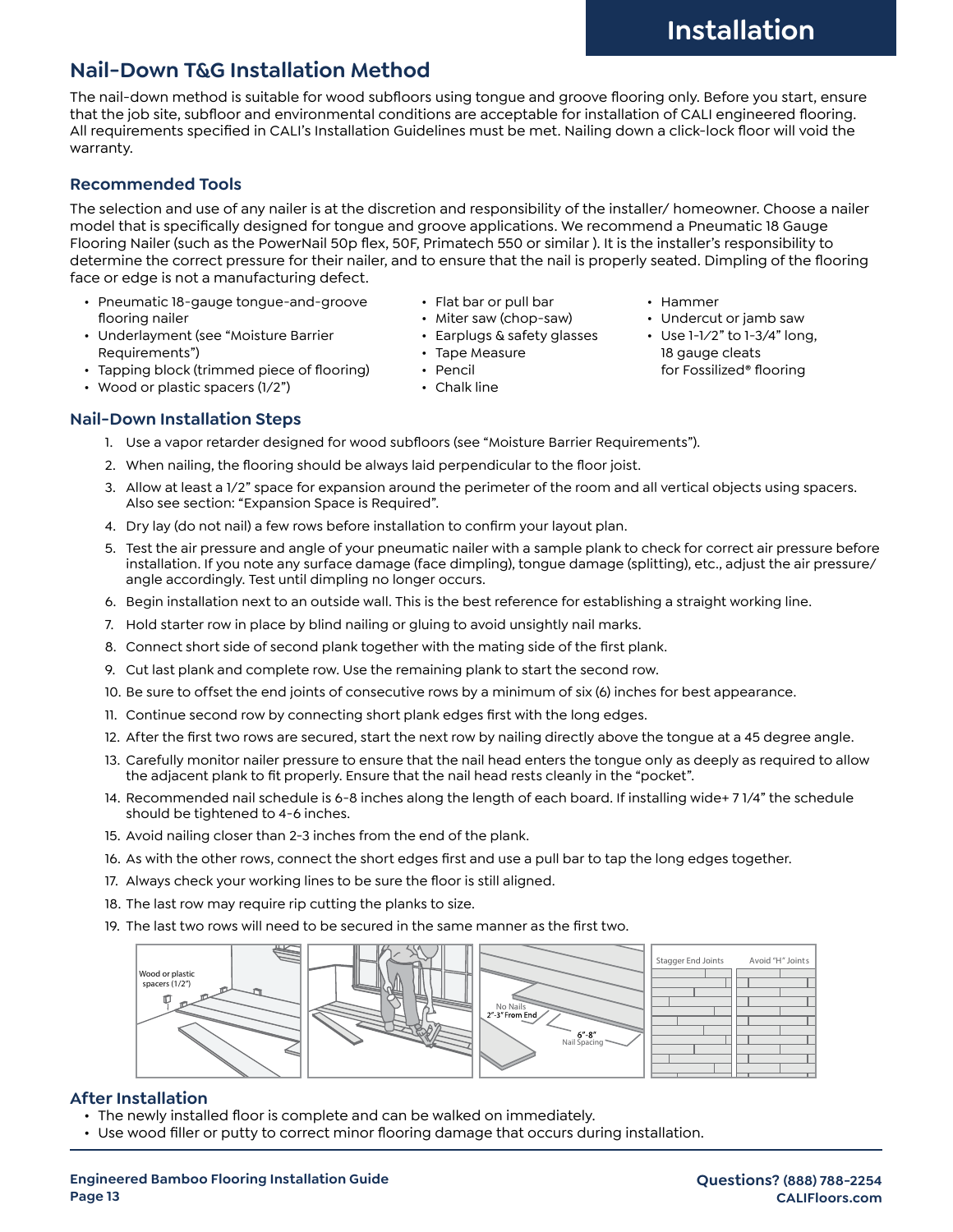# **Nail-Down T&G Installation Method**

The nail-down method is suitable for wood subfloors using tongue and groove flooring only. Before you start, ensure that the job site, subfloor and environmental conditions are acceptable for installation of CALI engineered flooring. All requirements specified in CALI's Installation Guidelines must be met. Nailing down a click-lock floor will void the warranty.

### **Recommended Tools**

The selection and use of any nailer is at the discretion and responsibility of the installer/ homeowner. Choose a nailer model that is specifically designed for tongue and groove applications. We recommend a Pneumatic 18 Gauge Flooring Nailer (such as the PowerNail 50p flex, 50F, Primatech 550 or similar ). It is the installer's responsibility to determine the correct pressure for their nailer, and to ensure that the nail is properly seated. Dimpling of the flooring face or edge is not a manufacturing defect.

> • Tape Measure • Pencil • Chalk line

• Flat bar or pull bar • Miter saw (chop-saw) • Earplugs & safety glasses

- Pneumatic 18-gauge tongue-and-groove flooring nailer
- Underlayment (see "Moisture Barrier Requirements")
- Tapping block (trimmed piece of flooring)
- Wood or plastic spacers (1/2")
- **Nail-Down Installation Steps**
	- 1. Use a vapor retarder designed for wood subfloors (see "Moisture Barrier Requirements").
	- 2. When nailing, the flooring should be always laid perpendicular to the floor joist.
	- 3. Allow at least a 1/2" space for expansion around the perimeter of the room and all vertical objects using spacers. Also see section: "Expansion Space is Required".
	- 4. Dry lay (do not nail) a few rows before installation to confirm your layout plan.
	- 5. Test the air pressure and angle of your pneumatic nailer with a sample plank to check for correct air pressure before installation. If you note any surface damage (face dimpling), tongue damage (splitting), etc., adjust the air pressure/ angle accordingly. Test until dimpling no longer occurs.
	- 6. Begin installation next to an outside wall. This is the best reference for establishing a straight working line.
	- 7. Hold starter row in place by blind nailing or gluing to avoid unsightly nail marks.
	- 8. Connect short side of second plank together with the mating side of the first plank.
	- 9. Cut last plank and complete row. Use the remaining plank to start the second row.
	- 10. Be sure to offset the end joints of consecutive rows by a minimum of six (6) inches for best appearance.
	- 11. Continue second row by connecting short plank edges first with the long edges.
	- 12. After the first two rows are secured, start the next row by nailing directly above the tongue at a 45 degree angle.
	- 13. Carefully monitor nailer pressure to ensure that the nail head enters the tongue only as deeply as required to allow the adjacent plank to fit properly. Ensure that the nail head rests cleanly in the "pocket".
	- 14. Recommended nail schedule is 6-8 inches along the length of each board. If installing wide+ 7 1/4" the schedule should be tightened to 4-6 inches.
	- 15. Avoid nailing closer than 2-3 inches from the end of the plank.
	- 16. As with the other rows, connect the short edges first and use a pull bar to tap the long edges together.
	- 17. Always check your working lines to be sure the floor is still aligned.
	- 18. The last row may require rip cutting the planks to size.
	- 19. The last two rows will need to be secured in the same manner as the first two.



#### **After Installation**

- The newly installed floor is complete and can be walked on immediately.
- Use wood filler or putty to correct minor flooring damage that occurs during installation.
- Hammer
- Undercut or jamb saw
- Use 1-1⁄2" to 1-3/4" long, 18 gauge cleats for Fossilized® flooring

**Questions? (888) 788-2254 CALIFloors.com**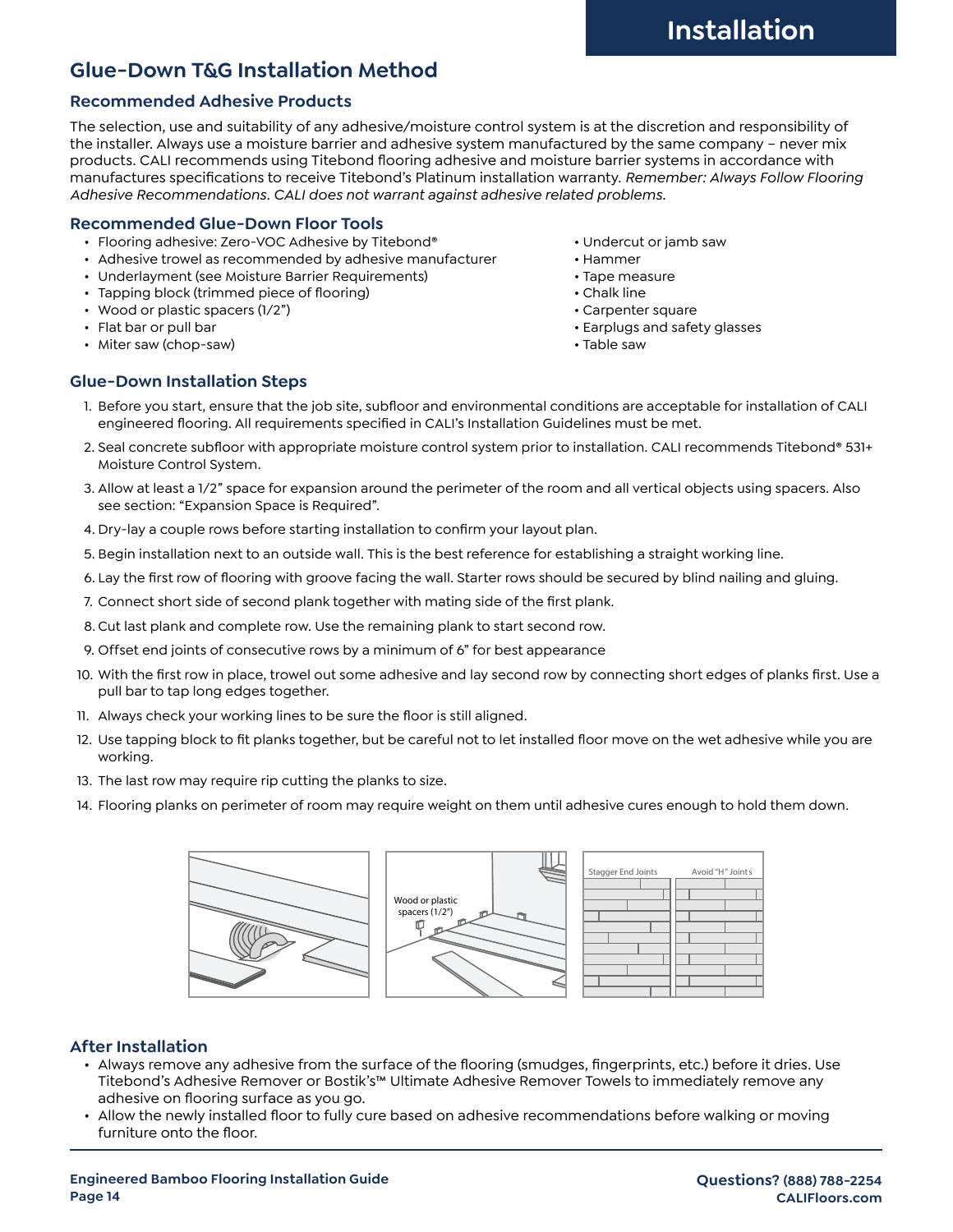## **Glue-Down T&G Installation Method**

#### **Recommended Adhesive Products**

The selection, use and suitability of any adhesive/moisture control system is at the discretion and responsibility of the installer. Always use a moisture barrier and adhesive system manufactured by the same company – never mix products. CALI recommends using Titebond flooring adhesive and moisture barrier systems in accordance with manufactures specifications to receive Titebond's Platinum installation warranty. *Remember: Always Follow Flooring Adhesive Recommendations. CALI does not warrant against adhesive related problems.*

#### **Recommended Glue-Down Floor Tools**

- Flooring adhesive: Zero-VOC Adhesive by Titebond® • • Undercut or jamb saw
- Adhesive trowel as recommended by adhesive manufacturer • Hammer
- Underlayment (see Moisture Barrier Requirements) Tape measure
- Tapping block (trimmed piece of flooring)  **Chalk line** Chalk line
- Wood or plastic spacers (1/2") example the control of the Carpenter square
- 
- Miter saw (chop-saw) Table saw
- 
- 
- 
- 
- 
- Flat bar or pull bar Earplugs and safety glasses
	-

#### **Glue-Down Installation Steps**

- 1. Before you start, ensure that the job site, subfloor and environmental conditions are acceptable for installation of CALI engineered flooring. All requirements specified in CALI's Installation Guidelines must be met.
- 2. Seal concrete subfloor with appropriate moisture control system prior to installation. CALI recommends Titebond® 531+ Moisture Control System.
- 3. Allow at least a 1/2" space for expansion around the perimeter of the room and all vertical objects using spacers. Also see section: "Expansion Space is Required".
- 4. Dry-lay a couple rows before starting installation to confirm your layout plan.
- 5. Begin installation next to an outside wall. This is the best reference for establishing a straight working line.
- 6. Lay the first row of flooring with groove facing the wall. Starter rows should be secured by blind nailing and gluing.
- 7. Connect short side of second plank together with mating side of the first plank.
- 8. Cut last plank and complete row. Use the remaining plank to start second row.
- 9. Offset end joints of consecutive rows by a minimum of 6" for best appearance
- 10. With the first row in place, trowel out some adhesive and lay second row by connecting short edges of planks first. Use a pull bar to tap long edges together.
- 11. Always check your working lines to be sure the floor is still aligned.
- 12. Use tapping block to fit planks together, but be careful not to let installed floor move on the wet adhesive while you are working.
- 13. The last row may require rip cutting the planks to size.
- 14. Flooring planks on perimeter of room may require weight on them until adhesive cures enough to hold them down.



#### **After Installation**

- Always remove any adhesive from the surface of the flooring (smudges, fingerprints, etc.) before it dries. Use Titebond's Adhesive Remover or Bostik's™ Ultimate Adhesive Remover Towels to immediately remove any adhesive on flooring surface as you go.
- Allow the newly installed floor to fully cure based on adhesive recommendations before walking or moving furniture onto the floor.